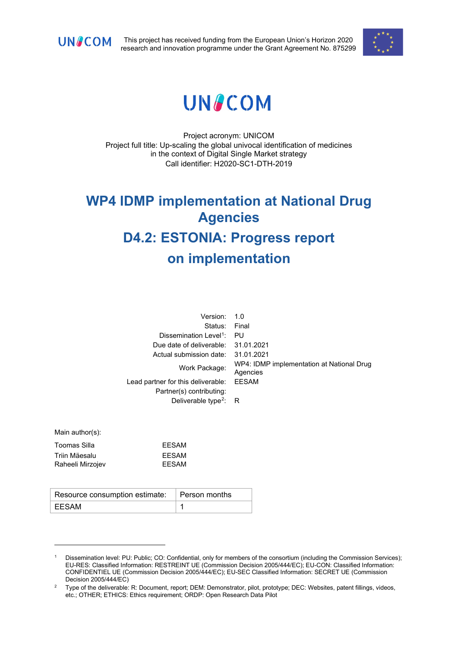

This project has received funding from the European Union's Horizon 2020 research and innovation programme under the Grant Agreement No. 875299



# **UNACOM**

Project acronym: UNICOM Project full title: Up-scaling the global univocal identification of medicines in the context of Digital Single Market strategy Call identifier: H2020-SC1-DTH-2019

# **WP4 IDMP implementation at National Drug Agencies D4.2: ESTONIA: Progress report on implementation**

| Version:                                                       | 1.0                                                   |
|----------------------------------------------------------------|-------------------------------------------------------|
| Status:                                                        | Final                                                 |
| Dissemination Level <sup>1</sup> :                             | PU                                                    |
| Due date of deliverable:                                       | 31.01.2021                                            |
| Actual submission date:                                        | 31.01.2021                                            |
| Work Package:                                                  | WP4: IDMP implementation at National Drug<br>Agencies |
| Lead partner for this deliverable:<br>Partner(s) contributing: | <b>EESAM</b>                                          |
| Deliverable type <sup>2</sup> : R                              |                                                       |
|                                                                |                                                       |

Main author(s):

| <b>FFSAM</b> |
|--------------|
| FFSAM        |
| <b>FFSAM</b> |
|              |

| Resource consumption estimate:   Person months |  |
|------------------------------------------------|--|
| EESAM                                          |  |

<span id="page-0-0"></span><sup>1</sup> Dissemination level: PU: Public; CO: Confidential, only for members of the consortium (including the Commission Services); EU-RES: Classified Information: RESTREINT UE (Commission Decision 2005/444/EC); EU-CON: Classified Information: CONFIDENTIEL UE (Commission Decision 2005/444/EC); EU-SEC Classified Information: SECRET UE (Commission Decision 2005/444/EC)

<span id="page-0-1"></span><sup>&</sup>lt;sup>2</sup> Type of the deliverable: R: Document, report; DEM: Demonstrator, pilot, prototype; DEC: Websites, patent fillings, videos, etc.; OTHER; ETHICS: Ethics requirement; ORDP: Open Research Data Pilot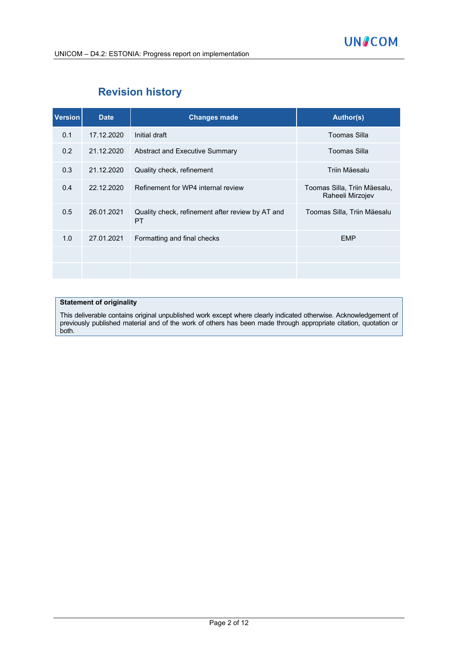## **Revision history**

| <b>Version</b> | <b>Date</b> | <b>Changes made</b>                                           | Author(s)                                        |
|----------------|-------------|---------------------------------------------------------------|--------------------------------------------------|
| 0.1            | 17.12.2020  | Initial draft                                                 | Toomas Silla                                     |
| 0.2            | 21.12.2020  | Abstract and Executive Summary                                | Toomas Silla                                     |
| 0.3            | 21.12.2020  | Quality check, refinement                                     | Triin Mäesalu                                    |
| 0.4            | 22.12.2020  | Refinement for WP4 internal review                            | Toomas Silla, Triin Mäesalu,<br>Raheeli Mirzojev |
| 0.5            | 26.01.2021  | Quality check, refinement after review by AT and<br><b>PT</b> | Toomas Silla, Triin Mäesalu                      |
| 1.0            | 27.01.2021  | Formatting and final checks                                   | <b>EMP</b>                                       |
|                |             |                                                               |                                                  |
|                |             |                                                               |                                                  |

#### **Statement of originality**

This deliverable contains original unpublished work except where clearly indicated otherwise. Acknowledgement of previously published material and of the work of others has been made through appropriate citation, quotation or both.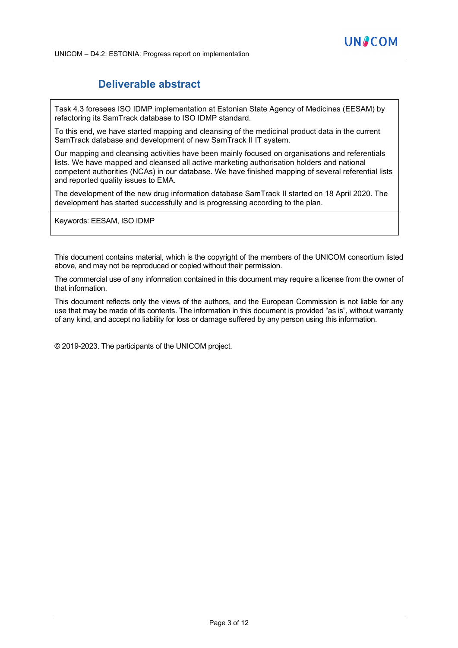## **Deliverable abstract**

Task 4.3 foresees ISO IDMP implementation at Estonian State Agency of Medicines (EESAM) by refactoring its SamTrack database to ISO IDMP standard.

To this end, we have started mapping and cleansing of the medicinal product data in the current SamTrack database and development of new SamTrack II IT system.

Our mapping and cleansing activities have been mainly focused on organisations and referentials lists. We have mapped and cleansed all active marketing authorisation holders and national competent authorities (NCAs) in our database. We have finished mapping of several referential lists and reported quality issues to EMA.

The development of the new drug information database SamTrack II started on 18 April 2020. The development has started successfully and is progressing according to the plan.

Keywords: EESAM, ISO IDMP

This document contains material, which is the copyright of the members of the UNICOM consortium listed above, and may not be reproduced or copied without their permission.

The commercial use of any information contained in this document may require a license from the owner of that information.

This document reflects only the views of the authors, and the European Commission is not liable for any use that may be made of its contents. The information in this document is provided "as is", without warranty of any kind, and accept no liability for loss or damage suffered by any person using this information.

© 2019-2023. The participants of the UNICOM project.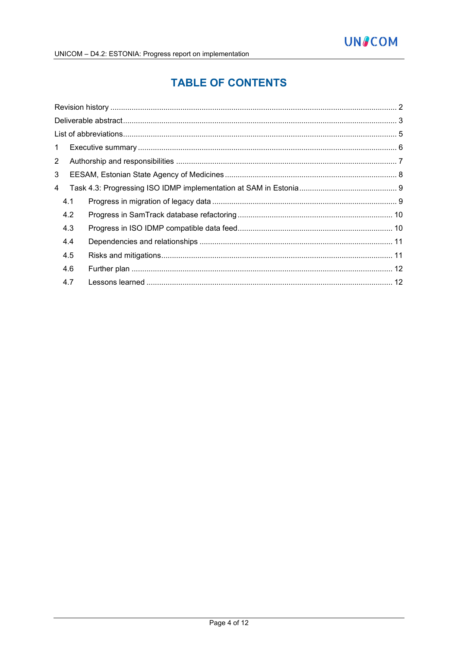# **TABLE OF CONTENTS**

| $\mathbf{1}$   |     |  |
|----------------|-----|--|
| $\overline{2}$ |     |  |
| 3              |     |  |
| 4              |     |  |
|                | 4.1 |  |
|                | 4.2 |  |
|                | 4.3 |  |
|                | 4.4 |  |
|                | 4.5 |  |
|                | 4.6 |  |
|                | 4.7 |  |
|                |     |  |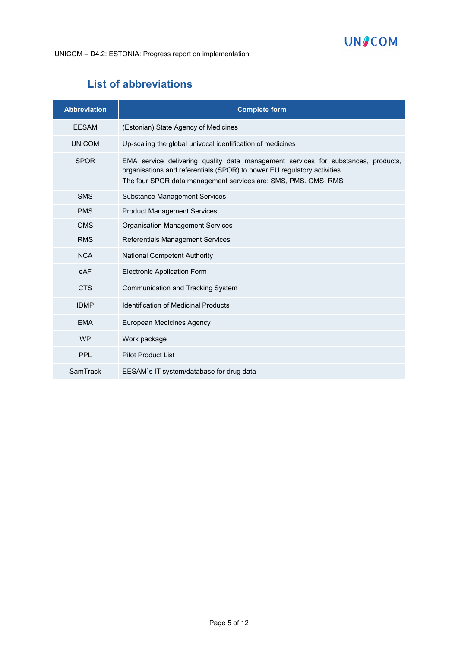## **List of abbreviations**

| <b>Abbreviation</b> | <b>Complete form</b>                                                                                                                                                                                                            |
|---------------------|---------------------------------------------------------------------------------------------------------------------------------------------------------------------------------------------------------------------------------|
| <b>FFSAM</b>        | (Estonian) State Agency of Medicines                                                                                                                                                                                            |
| <b>UNICOM</b>       | Up-scaling the global univocal identification of medicines                                                                                                                                                                      |
| <b>SPOR</b>         | EMA service delivering quality data management services for substances, products,<br>organisations and referentials (SPOR) to power EU regulatory activities.<br>The four SPOR data management services are: SMS, PMS. OMS, RMS |
| <b>SMS</b>          | <b>Substance Management Services</b>                                                                                                                                                                                            |
| <b>PMS</b>          | <b>Product Management Services</b>                                                                                                                                                                                              |
| <b>OMS</b>          | <b>Organisation Management Services</b>                                                                                                                                                                                         |
| <b>RMS</b>          | Referentials Management Services                                                                                                                                                                                                |
| <b>NCA</b>          | <b>National Competent Authority</b>                                                                                                                                                                                             |
| eAF                 | <b>Electronic Application Form</b>                                                                                                                                                                                              |
| <b>CTS</b>          | Communication and Tracking System                                                                                                                                                                                               |
| <b>IDMP</b>         | <b>Identification of Medicinal Products</b>                                                                                                                                                                                     |
| <b>EMA</b>          | European Medicines Agency                                                                                                                                                                                                       |
| <b>WP</b>           | Work package                                                                                                                                                                                                                    |
| <b>PPL</b>          | <b>Pilot Product List</b>                                                                                                                                                                                                       |
| SamTrack            | EESAM's IT system/database for drug data                                                                                                                                                                                        |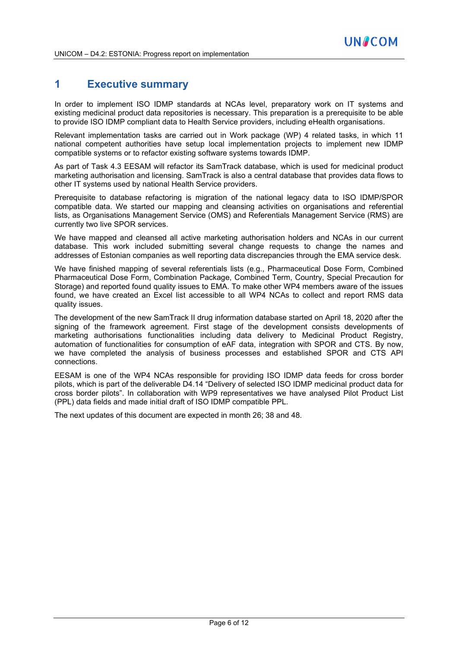## **1 Executive summary**

In order to implement ISO IDMP standards at NCAs level, preparatory work on IT systems and existing medicinal product data repositories is necessary. This preparation is a prerequisite to be able to provide ISO IDMP compliant data to Health Service providers, including eHealth organisations.

Relevant implementation tasks are carried out in Work package (WP) 4 related tasks, in which 11 national competent authorities have setup local implementation projects to implement new IDMP compatible systems or to refactor existing software systems towards IDMP.

As part of Task 4.3 EESAM will refactor its SamTrack database, which is used for medicinal product marketing authorisation and licensing. SamTrack is also a central database that provides data flows to other IT systems used by national Health Service providers.

Prerequisite to database refactoring is migration of the national legacy data to ISO IDMP/SPOR compatible data. We started our mapping and cleansing activities on organisations and referential lists, as Organisations Management Service (OMS) and Referentials Management Service (RMS) are currently two live SPOR services.

We have mapped and cleansed all active marketing authorisation holders and NCAs in our current database. This work included submitting several change requests to change the names and addresses of Estonian companies as well reporting data discrepancies through the EMA service desk.

We have finished mapping of several referentials lists (e.g., Pharmaceutical Dose Form, Combined Pharmaceutical Dose Form, Combination Package, Combined Term, Country, Special Precaution for Storage) and reported found quality issues to EMA. To make other WP4 members aware of the issues found, we have created an Excel list accessible to all WP4 NCAs to collect and report RMS data quality issues.

The development of the new SamTrack II drug information database started on April 18, 2020 after the signing of the framework agreement. First stage of the development consists developments of marketing authorisations functionalities including data delivery to Medicinal Product Registry, automation of functionalities for consumption of eAF data, integration with SPOR and CTS. By now, we have completed the analysis of business processes and established SPOR and CTS API connections.

EESAM is one of the WP4 NCAs responsible for providing ISO IDMP data feeds for cross border pilots, which is part of the deliverable D4.14 "Delivery of selected ISO IDMP medicinal product data for cross border pilots". In collaboration with WP9 representatives we have analysed Pilot Product List (PPL) data fields and made initial draft of ISO IDMP compatible PPL.

The next updates of this document are expected in month 26; 38 and 48.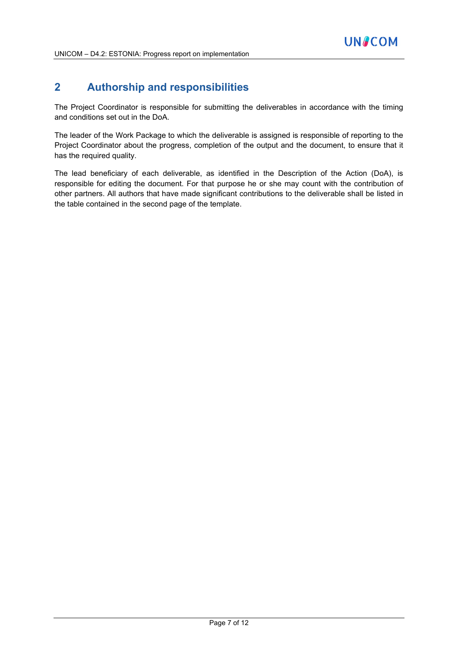## **2 Authorship and responsibilities**

The Project Coordinator is responsible for submitting the deliverables in accordance with the timing and conditions set out in the DoA.

The leader of the Work Package to which the deliverable is assigned is responsible of reporting to the Project Coordinator about the progress, completion of the output and the document, to ensure that it has the required quality.

The lead beneficiary of each deliverable, as identified in the Description of the Action (DoA), is responsible for editing the document. For that purpose he or she may count with the contribution of other partners. All authors that have made significant contributions to the deliverable shall be listed in the table contained in the second page of the template.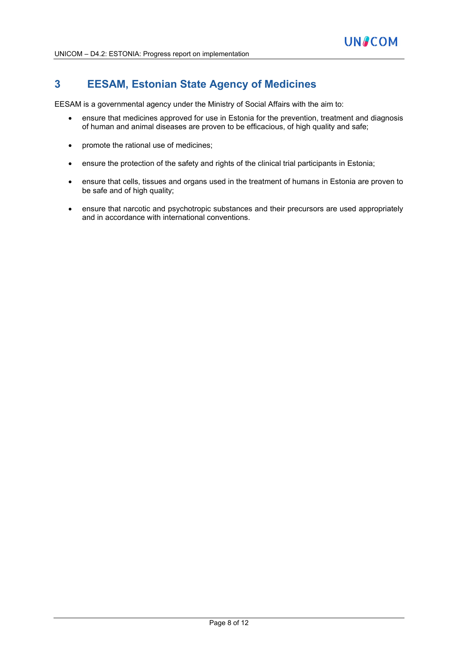## **3 EESAM, Estonian State Agency of Medicines**

EESAM is a governmental agency under the Ministry of Social Affairs with the aim to:

- ensure that medicines approved for use in Estonia for the prevention, treatment and diagnosis of human and animal diseases are proven to be efficacious, of high quality and safe;
- promote the rational use of medicines;
- ensure the protection of the safety and rights of the clinical trial participants in Estonia;
- ensure that cells, tissues and organs used in the treatment of humans in Estonia are proven to be safe and of high quality;
- ensure that narcotic and psychotropic substances and their precursors are used appropriately and in accordance with international conventions.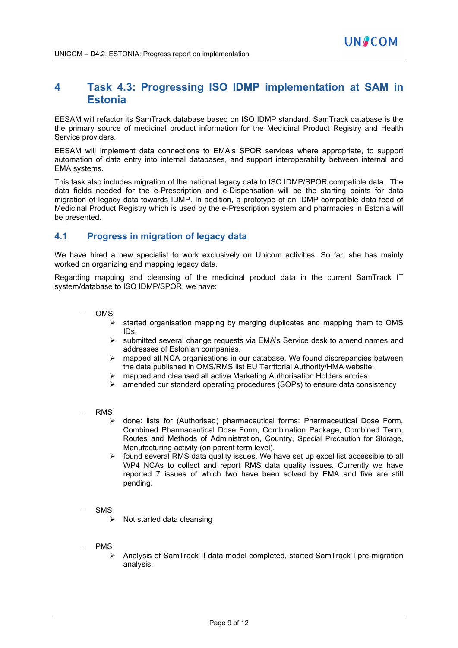## **4 Task 4.3: Progressing ISO IDMP implementation at SAM in Estonia**

**UNACOM** 

EESAM will refactor its SamTrack database based on ISO IDMP standard. SamTrack database is the the primary source of medicinal product information for the Medicinal Product Registry and Health Service providers.

EESAM will implement data connections to EMA's SPOR services where appropriate, to support automation of data entry into internal databases, and support interoperability between internal and EMA systems.

This task also includes migration of the national legacy data to ISO IDMP/SPOR compatible data. The data fields needed for the e-Prescription and e-Dispensation will be the starting points for data migration of legacy data towards IDMP. In addition, a prototype of an IDMP compatible data feed of Medicinal Product Registry which is used by the e-Prescription system and pharmacies in Estonia will be presented.

## **4.1 Progress in migration of legacy data**

We have hired a new specialist to work exclusively on Unicom activities. So far, she has mainly worked on organizing and mapping legacy data.

Regarding mapping and cleansing of the medicinal product data in the current SamTrack IT system/database to ISO IDMP/SPOR, we have:

- − OMS
	- started organisation mapping by merging duplicates and mapping them to OMS IDs.
	- submitted several change requests via EMA's Service desk to amend names and addresses of Estonian companies.
	- mapped all NCA organisations in our database. We found discrepancies between the data published in OMS/RMS list EU Territorial Authority/HMA website.
	- mapped and cleansed all active Marketing Authorisation Holders entries
	- amended our standard operating procedures (SOPs) to ensure data consistency
- − RMS
	- done: lists for (Authorised) pharmaceutical forms: Pharmaceutical Dose Form, Combined Pharmaceutical Dose Form, Combination Package, Combined Term, Routes and Methods of Administration, Country, Special Precaution for Storage, Manufacturing activity (on parent term level).
	- $\triangleright$  found several RMS data quality issues. We have set up excel list accessible to all WP4 NCAs to collect and report RMS data quality issues. Currently we have reported 7 issues of which two have been solved by EMA and five are still pending.
- − SMS
	- $\triangleright$  Not started data cleansing
- − PMS
	- Analysis of SamTrack II data model completed, started SamTrack I pre-migration analysis.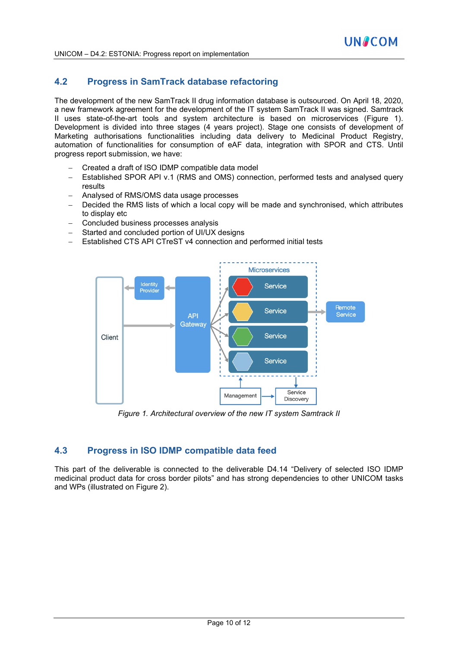## **4.2 Progress in SamTrack database refactoring**

The development of the new SamTrack II drug information database is outsourced. On April 18, 2020, a new framework agreement for the development of the IT system SamTrack II was signed. Samtrack II uses state-of-the-art tools and system architecture is based on microservices (Figure 1). Development is divided into three stages (4 years project). Stage one consists of development of Marketing authorisations functionalities including data delivery to Medicinal Product Registry, automation of functionalities for consumption of eAF data, integration with SPOR and CTS. Until progress report submission, we have:

- − Created a draft of ISO IDMP compatible data model
- − Established SPOR API v.1 (RMS and OMS) connection, performed tests and analysed query results
- − Analysed of RMS/OMS data usage processes
- Decided the RMS lists of which a local copy will be made and synchronised, which attributes to display etc
- − Concluded business processes analysis
- Started and concluded portion of UI/UX designs
- Established CTS API CTreST v4 connection and performed initial tests



*Figure 1. Architectural overview of the new IT system Samtrack II*

### **4.3 Progress in ISO IDMP compatible data feed**

This part of the deliverable is connected to the deliverable D4.14 "Delivery of selected ISO IDMP medicinal product data for cross border pilots" and has strong dependencies to other UNICOM tasks and WPs (illustrated on Figure 2).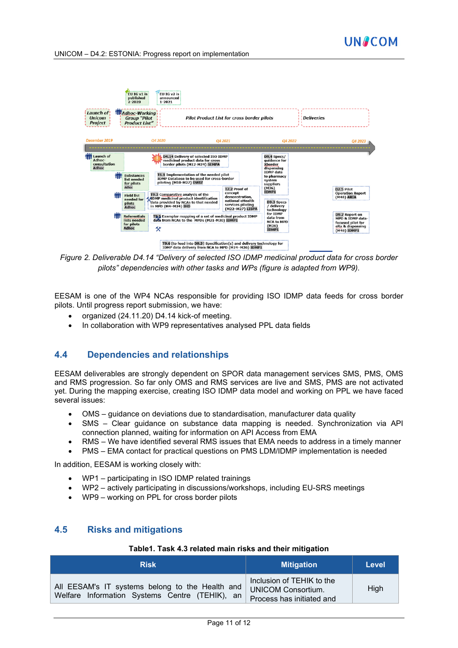



*Figure 2. Deliverable D4.14 "Delivery of selected ISO IDMP medicinal product data for cross border pilots" dependencies with other tasks and WPs (figure is adapted from WP9).* 

EESAM is one of the WP4 NCAs responsible for providing ISO IDMP data feeds for cross border pilots. Until progress report submission, we have:

- organized (24.11.20) D4.14 kick-of meeting.
- In collaboration with WP9 representatives analysed PPL data fields

### **4.4 Dependencies and relationships**

EESAM deliverables are strongly dependent on SPOR data management services SMS, PMS, OMS and RMS progression. So far only OMS and RMS services are live and SMS, PMS are not activated yet. During the mapping exercise, creating ISO IDMP data model and working on PPL we have faced several issues:

- OMS guidance on deviations due to standardisation, manufacturer data quality
- SMS Clear guidance on substance data mapping is needed. Synchronization via API connection planned, waiting for information on API Access from EMA
- RMS We have identified several RMS issues that EMA needs to address in a timely manner
- PMS EMA contact for practical questions on PMS LDM/IDMP implementation is needed

In addition, EESAM is working closely with:

- WP1 participating in ISO IDMP related trainings
- WP2 actively participating in discussions/workshops, including EU-SRS meetings
- WP9 working on PPL for cross border pilots

### **4.5 Risks and mitigations**

#### **Table1. Task 4.3 related main risks and their mitigation**

| <b>Risk</b>                                                                                       | <b>Mitigation</b>                                                                   | Level |
|---------------------------------------------------------------------------------------------------|-------------------------------------------------------------------------------------|-------|
| All EESAM's IT systems belong to the Health and<br>Welfare Information Systems Centre (TEHIK), an | Inclusion of TEHIK to the<br><b>UNICOM Consortium.</b><br>Process has initiated and | High  |